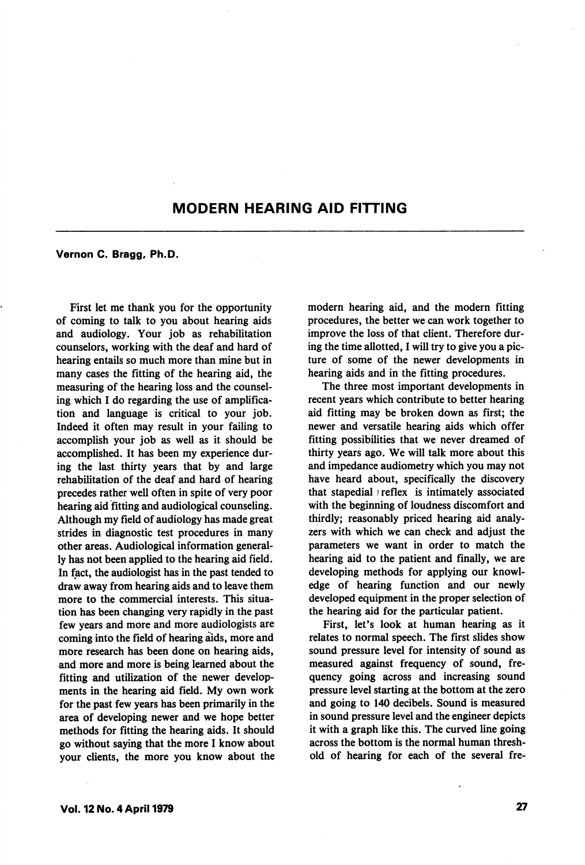## MODERN HEARING AID FITTING

## Vernon C. Bragg, Ph.D.

First let me thank you for the opportunity of coming to talk to you about hearing aids and audiology. Your job as rehabilitation counselors, working with the deaf and hard of hearing entails so much more than mine but in many cases the fitting of the hearing aid, the measuring of the hearing loss and the counsel ing which I do regarding the use of amplifica tion and language is critical to your job. Indeed it often may result in your failing to accomplish your job as well as it should be accomplished. It has been my experience dur ing the last thirty years that by and large rehabilitation of the deaf and hard of hearing precedes rather well often in spite of very poor hearing aid fitting and audiological counseling. Although my field of audiology has made great strides in diagnostic test procedures in many other areas. Audiological information general ly has not been applied to the hearing aid field. In fact, the audiologist has in the past tended to draw away from hearing aids and to leave them more to the commercial interests. This situa tion has been changing very rapidly in the past few years and more and more audiologists are coming into the field of hearing aids, more and more research has been done on hearing aids, and more and more is being learned about the fitting and utilization of the newer develop ments in the hearing aid field. My own work for the past few years has been primarily in the area of developing newer and we hope better methods for fitting the hearing aids. It should go without saying that the more I know about your clients, the more you know about the modern hearing aid, and the modern fitting procedures, the better we can work together to improve the loss of that client. Therefore dur ing the time allotted, I will try to give you a pic ture of some of the newer developments in hearing aids and in the fitting procedures.

The three most important developments in recent years which contribute to better hearing aid fitting may be broken down as first; the newer and versatile hearing aids which offer fitting possibilities that we never dreamed of thirty years ago. We will talk more about this and impedance audiometry which you may not have heard about, specifically the discovery that stapedial ) reflex is intimately associated with the beginning of loudness discomfort and thirdly; reasonably priced hearing aid analy zers with which we can check and adjust the parameters we want in order to match the hearing aid to the patient and finally, we are developing methods for applying our knowl edge of hearing function and our newly developed equipment in the proper selection of the hearing aid for the particular patient.

First, let's look at human hearing as it relates to normal speech. The first slides show sound pressure level for intensity of sound as measured against frequency of sound, fre quency going across and increasing sound pressure level starting at the bottom at the zero and going to 140 decibels. Sound is measured in sound pressure level and the engineer depicts it with a graph like this. The curved line going across the bottom is the normal human thresh old of hearing for each of the several fre-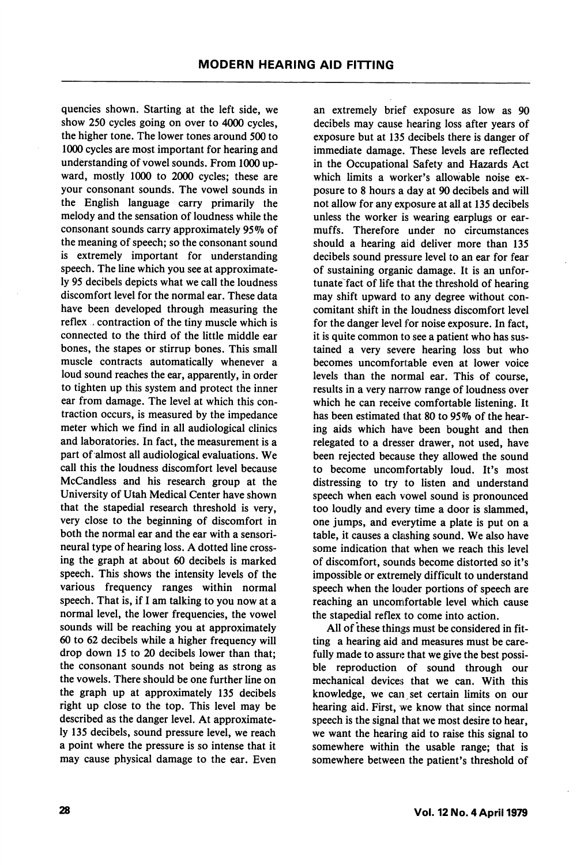quencies shown. Starting at the left side, we show 250 cycles going on over to 4000 cycles, the higher tone. The lower tones around 500 to 1000 cycles are most important for hearing and understanding of vowel sounds. From 1000 up ward, mostly 1000 to 2000 cycles; these are your consonant sounds. The vowel sounds in the English language carry primarily the melody and the sensation of loudness while the consonant sounds carry approximately 95% of the meaning of speech; so the consonant sound is extremely important for understanding speech. The line which you see at approximate ly 95 decibels depicts what we call the loudness discomfort level for the normal ear. These data have been developed through measuring the reflex , contraction of the tiny muscle which is connected to the third of the little middle ear bones, the stapes or stirrup bones. This small muscle contracts automatically whenever a loud sound reaches the ear, apparently, in order to tighten up this system and protect the inner ear from damage. The level at which this con traction occurs, is measured by the impedance meter which we find in all audiological clinics and laboratories. In fact, the measurement is a part of almost all audiological evaluations. We call this the loudness discomfort level because McCandless and his research group at the University of Utah Medical Center have shown that the stapedial research threshold is very, very close to the beginning of discomfort in both the normal ear and the ear with a sensorineural type of hearing loss. A dotted line cross ing the graph at about 60 decibels is marked speech. This shows the intensity levels of the various frequency ranges within normal speech. That is, if I am talking to you now at a normal level, the lower frequencies, the vowel sounds will be reaching you at approximately 60 to 62 decibels while a higher frequency will drop down 15 to 20 decibels lower than that; the consonant sounds not being as strong as the vowels. There should be one further line on the graph up at approximately 135 decibels right up close to the top. This level may be described as the danger level. At approximate ly 135 decibels, sound pressure level, we reach a point where the pressure is so intense that it may cause physical damage to the ear. Even

an extremely brief exposure as low as 90 decibels may cause hearing loss after years of exposure but at 135 decibels there is danger of immediate damage. These levels are reflected in the Occupational Safety and Hazards Act which limits a worker's allowable noise exposure to 8 hours a day at 90 decibels and will not allow for any exposure at all at 135 decibels unless the worker is wearing earplugs or earmuffs. Therefore under no circumstances should a hearing aid deliver more than 135 decibels sound pressure level to an ear for fear of sustaining organic damage. It is an unfor tunate fact of life that the threshold of hearing may shift upward to any degree without con comitant shift in the loudness discomfort level for the danger level for noise exposure. In fact, it is quite common to see a patient who has sus tained a very severe hearing loss but who becomes uncomfortable even at lower voice levels than the normal ear. This of course, results in a very narrow range of loudness over which he can receive comfortable listening. It has been estimated that 80 to 95% of the hearing aids which have been bought and then relegated to a dresser drawer, not used, have been rejected because they allowed the sound to become uncomfortably loud. It's most distressing to try to listen and understand speech when each vowel sound is pronounced too loudly and every time a door is slammed, one jumps, and everytime a plate is put on a table, it causes a clashing sound. We also have some indication that when we reach this level of discomfort, sounds become distorted so it's impossible or extremely difficult to understand speech when the louder portions of speech are reaching an uncomfortable level which cause the stapedial reflex to come into action.

All of these things must be considered in fit ting a hearing aid and measures must be care fully made to assure that we give the best possible reproduction of sound through our mechanical devices that we can. With this knowledge, we can set certain limits on our hearing aid. First, we know that since normal speech is the signal that we most desire to hear, we want the hearing aid to raise this signal to somewhere within the usable range; that is somewhere between the patient's threshold of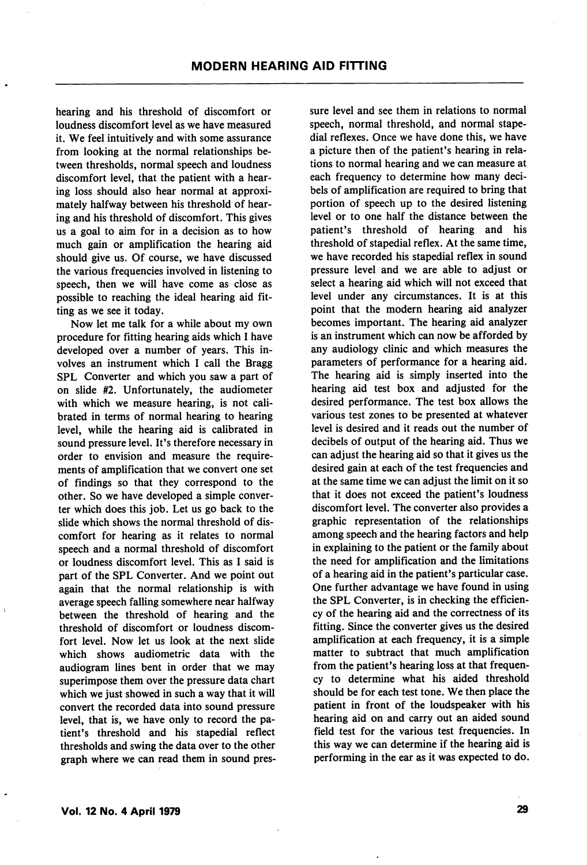hearing and his threshold of discomfort or loudness discomfort level as we have measured it. We feel intuitively and with some assurance from looking at the normal relationships be tween thresholds, normal speech and loudness discomfort level, that the patient with a hear ing loss should also hear normal at approxi mately halfway between his threshold of hear ing and his threshold of discomfort. This gives us a goal to aim for in a decision as to how much gain or amplification the hearing aid should give us. Of course, we have discussed the various frequencies involved in listening to speech, then we will have come as close as possible to reaching the ideal hearing aid fit ting as we see it today.

Now let me talk for a while about my own procedure for fitting hearing aids which I have developed over a number of years. This in volves an instrument which I call the Bragg SPL Converter and which you saw a part of on slide #2. Unfortunately, the audiometer with which we measure hearing, is not cali brated in terms of normal hearing to hearing level, while the hearing aid is calibrated in sound pressure level. It's therefore necessary in order to envision and measure the requirements of amplification that we convert one set of findings so that they correspond to the other. So we have developed a simple conver ter which does this job. Let us go back to the slide which shows the normal threshold of dis comfort for hearing as it relates to normal speech and a normal threshold of discomfort or loudness discomfort level. This as I said is part of the SPL Converter. And we point out again that the normal relationship is with average speech falling somewhere near halfway between the threshold of hearing and the threshold of discomfort or loudness discom fort level. Now let us look at the next slide which shows audiometric data with the audiogram lines bent in order that we may superimpose them over the pressure data chart which we just showed in such a way that it will convert the recorded data into sound pressure level, that is, we have only to record the pa tient's threshold and his stapedial reflect thresholds and swing the data over to the other graph where we can read them in sound pres sure level and see them in relations to normal speech, normal threshold, and normal stape dial reflexes. Once we have done this, we have a picture then of the patient's hearing in rela tions to normal hearing and we can measure at each frequency to determine how many deci bels of amplification are required to bring that portion of speech up to the desired listening level or to one half the distance between the patient's threshold of hearing and his threshold of stapedial reflex. At the same time, we have recorded his stapedial reflex in sound pressure level and we are able to adjust or select a hearing aid which will not exceed that level under any circumstances. It is at this point that the modern hearing aid analyzer becomes important. The hearing aid analyzer is an instrument which can now be afforded by any audiology clinic and which measures the parameters of performance for a hearing aid. The hearing aid is simply inserted into the hearing aid test box and adjusted for the desired performance. The test box allows the various test zones to be presented at whatever level is desired and it reads out the number of decibels of output of the hearing aid. Thus we can adjust the hearing aid so that it gives us the desired gain at each of the test frequencies and at the same time we can adjust the limit on it so that it does not exceed the patient's loudness discomfort level. The converter also provides a graphic representation of the relationships among speech and the hearing factors and help in explaining to the patient or the family about the need for amplification and the limitations of a hearing aid in the patient's particular case. One further advantage we have found in using the SPL Converter, is in checking the efficien cy of the hearing aid and the correctness of its fitting. Since the converter gives us the desired amplification at each frequency, it is a simple matter to subtract that much amplification from the patient's hearing loss at that frequen cy to determine what his aided threshold should be for each test tone. We then place the patient in front of the loudspeaker with his hearing aid on and carry out an aided sound field test for the various test frequencies. In this way we can determine if the hearing aid is performing in the ear as it was expected to do.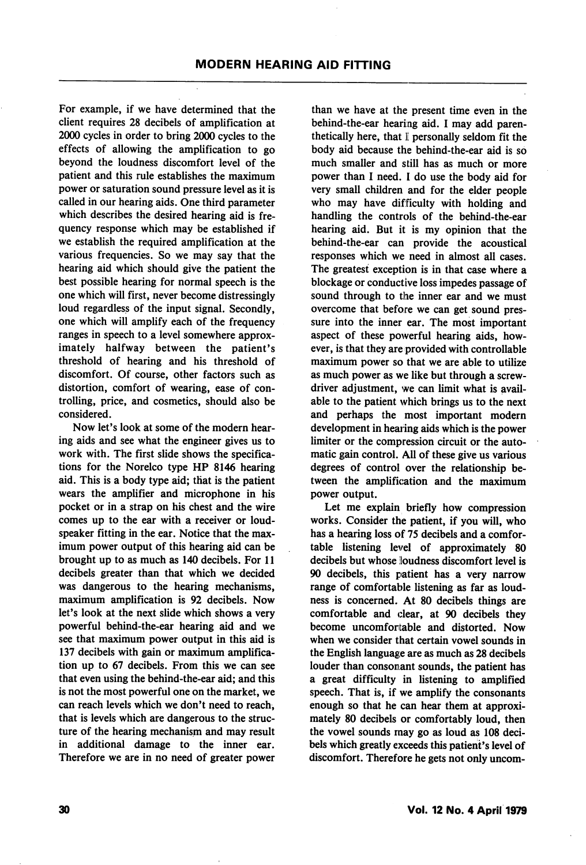For example, if we have determined that the client requires 28 decibels of amplification at 2000 cycles in order to bring 2000 cycles to the effects of allowing the amplification to go beyond the loudness discomfort level of the patient and this rule establishes the maximum power or saturation sound pressure level as it is called in our hearing aids. One third parameter which describes the desired hearing aid is fre quency response which may be established if we establish the required amplification at the various frequencies. So we may say that the hearing aid which should give the patient the best possible hearing for normal speech is the one which will first, never become distressingly loud regardless of the input signal. Secondly, one which will amplify each of the frequency ranges in speech to a level somewhere approx imately halfway between the patient's threshold of hearing and his threshold of discomfort. Of course, other factors such as distortion, comfort of wearing, ease of con trolling, price, and cosmetics, should also be considered.

Now let's look at some of the modern hear ing aids and see what the engineer gives us to work with. The first slide shows the specifica tions for the Norelco type HP 8146 hearing aid. This is a body type aid; that is the patient wears the amplifier and microphone in his pocket or in a strap on his chest and the wire comes up to the ear with a receiver or loud speaker fitting in the ear. Notice that the max imum power output of this hearing aid can be brought up to as much as 140 decibels. For 11 decibels greater than that which we decided was dangerous to the hearing mechanisms, maximum amplification is 92 decibels. Now let's look at the next slide which shows a very powerful behind-the-ear hearing aid and we see that maximum power output in this aid is 137 decibels with gain or maximum amplification up to 67 decibels. From this we can see that even using the behind-the-ear aid; and this is not the most powerful one on the market, we can reach levels which we don't need to reach, that is levels which are dangerous to the struc ture of the hearing mechanism and may result in additional damage to the inner ear. Therefore we are in no need of greater power

than we have at the present time even in the behind-the-ear hearing aid. I may add paren thetically here, that I personally seldom fit the body aid because the behind-the-ear aid is so much smaller and still has as much or more power than I need. I do use the body aid for very small children and for the elder people who may have difficulty with holding and handling the controls of the behind-the-ear hearing aid. But it is my opinion that the behind-the-ear can provide the acoustical responses which we need in almost all cases. The greatest exception is in that case where a blockage or conductive loss impedes passage of sound through to the inner ear and we must overcome that before we can get sound pres sure into the inner ear. The most important aspect of these powerful hearing aids, however, is that they are provided with controllable maximum power so that we are able to utilize as much power as we like but through a screw driver adjustment, we can limit what is avail able to the patient which brings us to the next and perhaps the most important modern development in hearing aids which is the power limiter or the compression circuit or the auto matic gain control. All of these give us various degrees of control over the relationship be tween the amplification and the maximum power output.

Let me explain briefly how compression works. Consider the patient, if you will, who has a hearing loss of 75 decibels and a comfor table listening level of approximately 80 decibels but whose loudness discomfort level is 90 decibels, this patient has a very narrow range of comfortable listening as far as loudness is concerned. At 80 decibels things are comfortable and clear, at 90 decibels they become uncomfortable and distorted. Now when we consider that certain vowel sounds in the English language are as much as 28 decibels louder than consonant sounds, the patient has a great difficulty in listening to amplified speech. That is, if we amplify the consonants enough so that he can hear them at approxi mately 80 decibels or comfortably loud, then the vowel sounds may go as loud as 108 deci bels which greatly exceeds this patient's level of discomfort. Therefore he gets not only uncom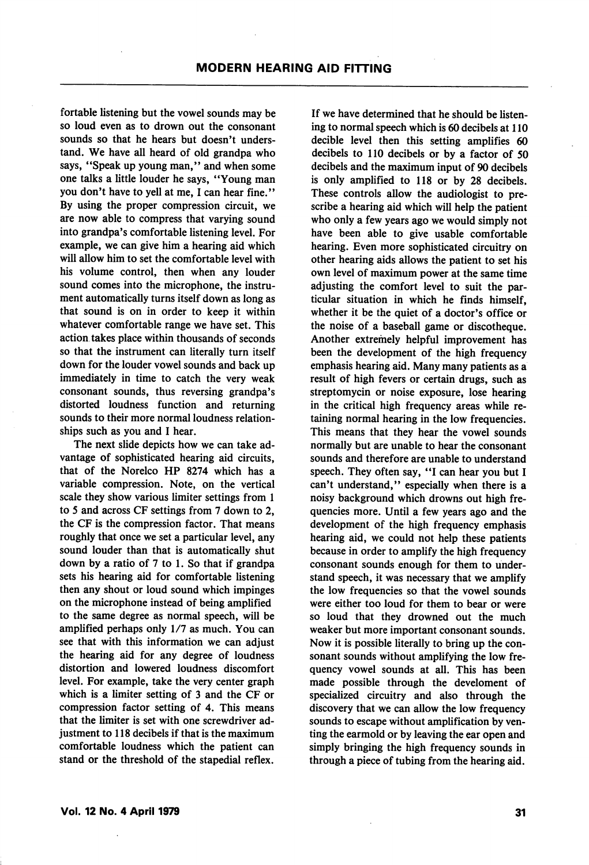fortable listening but the vowel sounds may be so loud even as to drown out the consonant sounds so that he hears but doesn't unders tand. We have all heard of old grandpa who says, "Speak up young man," and when some one talks a little louder he says, "Young man you don't have to yell at me, I can hear fine." By using the proper compression circuit, we are now able to compress that varying sound into grandpa's comfortable listening level. For example, we can give him a hearing aid which will allow him to set the comfortable level with his volume control, then when any louder sound comes into the microphone, the instru ment automatically turns itself down as long as that sound is on in order to keep it within whatever comfortable range we have set. This action takes place within thousands of seconds so that the instrument can literally turn itself down for the louder vowel sounds and back up immediately in time to catch the very weak consonant sounds, thus reversing grandpa's distorted loudness function and returning sounds to their more normal loudness relation ships such as you and I hear.

The next slide depicts how we can take ad vantage of sophisticated hearing aid circuits, that of the Norelco HP 8274 which has a variable compression. Note, on the vertical scale they show various limiter settings from 1 to 5 and across CF settings from 7 down to 2, the CF is the compression factor. That means roughly that once we set a particular level, any sound louder than that is automatically shut down by a ratio of 7 to 1. So that if grandpa sets his hearing aid for comfortable listening then any shout or loud sound which impinges on the microphone instead of being amplified to the same degree as normal speech, will be amplified perhaps only 1/7 as much. You can see that with this information we can adjust the hearing aid for any degree of loudness distortion and lowered loudness discomfort level. For example, take the very center graph which is a limiter setting of 3 and the CF or compression factor setting of 4. This means that the limiter is set with one screwdriver ad justment to 118 decibels if that is the maximum comfortable loudness which the patient can stand or the threshold of the stapedial reflex.

If we have determined that he should be listen ing to normal speech which is 60 decibels at 110 decible level then this setting amplifies 60 decibels to 110 decibels or by a factor of 50 decibels and the maximum input of 90 decibels is only amplified to 118 or by 28 decibels. These controls allow the audiologist to pre scribe a hearing aid which will help the patient who only a few years ago we would simply not have been able to give usable comfortable hearing. Even more sophisticated circuitry on other hearing aids allows the patient to set his own level of maximum power at the same time adjusting the comfort level to suit the par ticular situation in which he finds himself, whether it be the quiet of a doctor's office or the noise of a baseball game or discotheque. Another extremely helpful improvement has been the development of the high frequency emphasis hearing aid. Many many patients as a result of high fevers or certain drugs, such as streptomycin or noise exposure, lose hearing in the critical high frequency areas while re taining normal hearing in the low frequencies. This means that they hear the vowel sounds normally but are unable to hear the consonant sounds and therefore are unable to understand speech. They often say, "I can hear you but I can't understand," especially when there is a noisy background which drowns out high fre quencies more. Until a few years ago and the development of the high frequency emphasis hearing aid, we could not help these patients because in order to amplify the high frequency consonant sounds enough for them to under stand speech, it was necessary that we amplify the low frequencies so that the vowel sounds were either too loud for them to bear or were so loud that they drowned out the much weaker but more important consonant sounds. Now it is possible literally to bring up the con sonant sounds without amplifying the low fre quency vowel sounds at all. This has been made possible through the develoment of specialized circuitry and also through the discovery that we can allow the low frequency sounds to escape without amplification by ven ting the earmold or by leaving the ear open and simply bringing the high frequency sounds in through a piece of tubing from the hearing aid.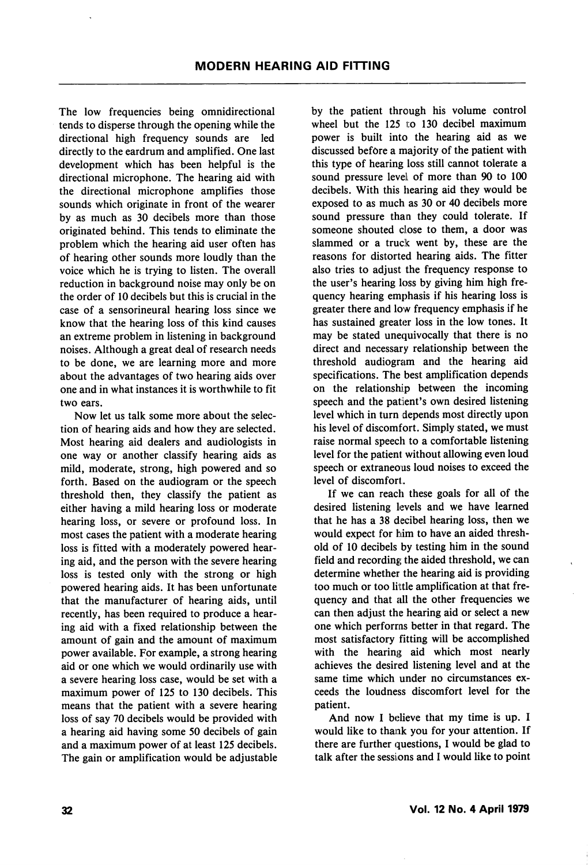The low frequencies being omnidirectional tends to disperse through the opening while the directional high frequency sounds are led directly to the eardrum and amplified. One last development which has been helpful is the directional microphone. The hearing aid with the directional microphone amplifies those sounds which originate in front of the wearer by as much as 30 decibels more than those originated behind. This tends to eliminate the problem which the hearing aid user often has of hearing other sounds more loudly than the voice which he is trying to listen. The overall reduction in background noise may only be on the order of 10 decibels but this is crucial in the case of a sensorineural hearing loss since we know that the hearing loss of this kind causes an extreme problem in listening in background noises. Although a great deal of research needs to be done, we are learning more and more about the advantages of two hearing aids over one and in what instances it is worthwhile to fit two ears.

Now let us talk some more about the selec tion of hearing aids and how they are selected. Most hearing aid dealers and audiologists in one way or another classify hearing aids as mild, moderate, strong, high powered and so forth. Based on the audiogram or the speech threshold then, they classify the patient as either having a mild hearing loss or moderate hearing loss, or severe or profound loss. In most cases the patient with a moderate hearing loss is fitted with a moderately powered hear ing aid, and the person with the severe hearing loss is tested only with the strong or high powered hearing aids. It has been unfortunate that the manufacturer of hearing aids, until recently, has been required to produce a hear ing aid with a fixed relationship between the amount of gain and the amount of maximum power available. For example, a strong hearing aid or one which we would ordinarily use with a severe hearing loss case, would be set with a maximum power of 125 to 130 decibels. This means that the patient with a severe hearing loss of say 70 decibels would be provided with a hearing aid having some 50 decibels of gain and a maximum power of at least 125 decibels. The gain or amplification would be adjustable by the patient through his volume control wheel but the  $125$  to  $130$  decibel maximum power is built into the hearing aid as we discussed before a majority of the patient with this type of hearing loss still cannot tolerate a sound pressure level of more than 90 to 100 decibels. With this hearing aid they would be exposed to as much as 30 or 40 decibels more sound pressure than they could tolerate. If someone shouted close to them, a door was slammed or a truck went by, these are the reasons for distorted hearing aids. The fitter also tries to adjust the frequency response to the user's hearing loss by giving him high fre quency hearing emphasis if his hearing loss is greater there and low frequency emphasis if he has sustained greater loss in the low tones. It may be stated unequivocally that there is no direct and necessary relationship between the threshold audiogram and the hearing aid specifications. The best amplification depends on the relationship between the incoming speech and the patient's own desired listening level which in turn depends most directly upon his level of discomfort. Simply stated, we must raise normal speech to a comfortable listening level for the patient without allowing even loud speech or extraneous loud noises to exceed the level of discomfort.

If we can reach these goals for all of the desired listening levels and we have learned that he has a 38 decibel hearing loss, then we would expect for him to have an aided thresh old of 10 decibels by testing him in the sound field and recording the aided threshold, we can determine whether the hearing aid is providing too much or too little amplification at that fre quency and that all the other frequencies we can then adjust the hearing aid or select a new one which performs better in that regard. The most satisfactory fitting will be accomplished with the hearing aid which most nearly achieves the desired listening level and at the same time which under no circumstances ex ceeds the loudness discomfort level for the patient.

And now I believe that my time is up. I would like to thank you for your attention. If there are further questions, I would be glad to talk after the sessions and I would like to point